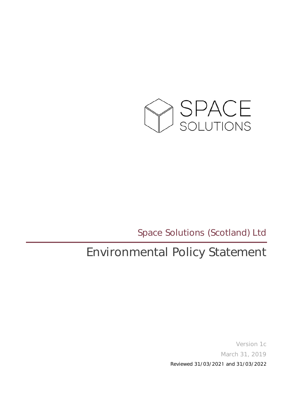

Space Solutions (Scotland) Ltd

## Environmental Policy Statement

Version 1c March 31, 2019 Reviewed 31/03/2021 and 31/03/2022